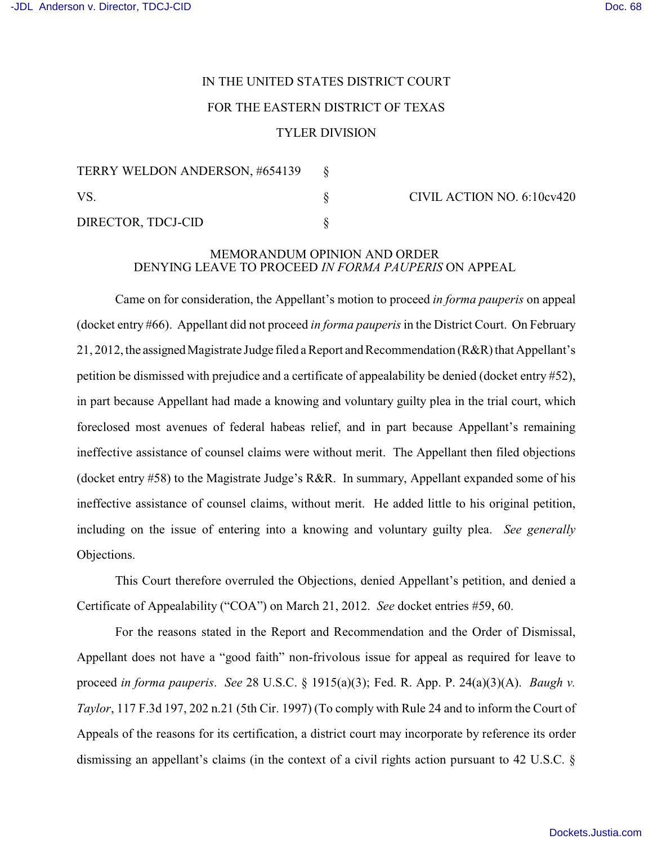## IN THE UNITED STATES DISTRICT COURT FOR THE EASTERN DISTRICT OF TEXAS TYLER DIVISION

| TERRY WELDON ANDERSON, #654139 |  |
|--------------------------------|--|
| VS.                            |  |
| DIRECTOR, TDCJ-CID             |  |

CIVIL ACTION NO. 6:10cv420

## MEMORANDUM OPINION AND ORDER DENYING LEAVE TO PROCEED *IN FORMA PAUPERIS* ON APPEAL

Came on for consideration, the Appellant's motion to proceed *in forma pauperis* on appeal (docket entry #66). Appellant did not proceed *in forma pauperis*in the District Court. On February 21, 2012, the assigned Magistrate Judge filed a Report and Recommendation (R&R) that Appellant's petition be dismissed with prejudice and a certificate of appealability be denied (docket entry #52), in part because Appellant had made a knowing and voluntary guilty plea in the trial court, which foreclosed most avenues of federal habeas relief, and in part because Appellant's remaining ineffective assistance of counsel claims were without merit. The Appellant then filed objections (docket entry #58) to the Magistrate Judge's R&R. In summary, Appellant expanded some of his ineffective assistance of counsel claims, without merit. He added little to his original petition, including on the issue of entering into a knowing and voluntary guilty plea. *See generally* Objections.

This Court therefore overruled the Objections, denied Appellant's petition, and denied a Certificate of Appealability ("COA") on March 21, 2012. *See* docket entries #59, 60.

For the reasons stated in the Report and Recommendation and the Order of Dismissal, Appellant does not have a "good faith" non-frivolous issue for appeal as required for leave to proceed *in forma pauperis*. *See* 28 U.S.C. § 1915(a)(3); Fed. R. App. P. 24(a)(3)(A). *Baugh v. Taylor*, 117 F.3d 197, 202 n.21 (5th Cir. 1997) (To comply with Rule 24 and to inform the Court of Appeals of the reasons for its certification, a district court may incorporate by reference its order dismissing an appellant's claims (in the context of a civil rights action pursuant to 42 U.S.C. §